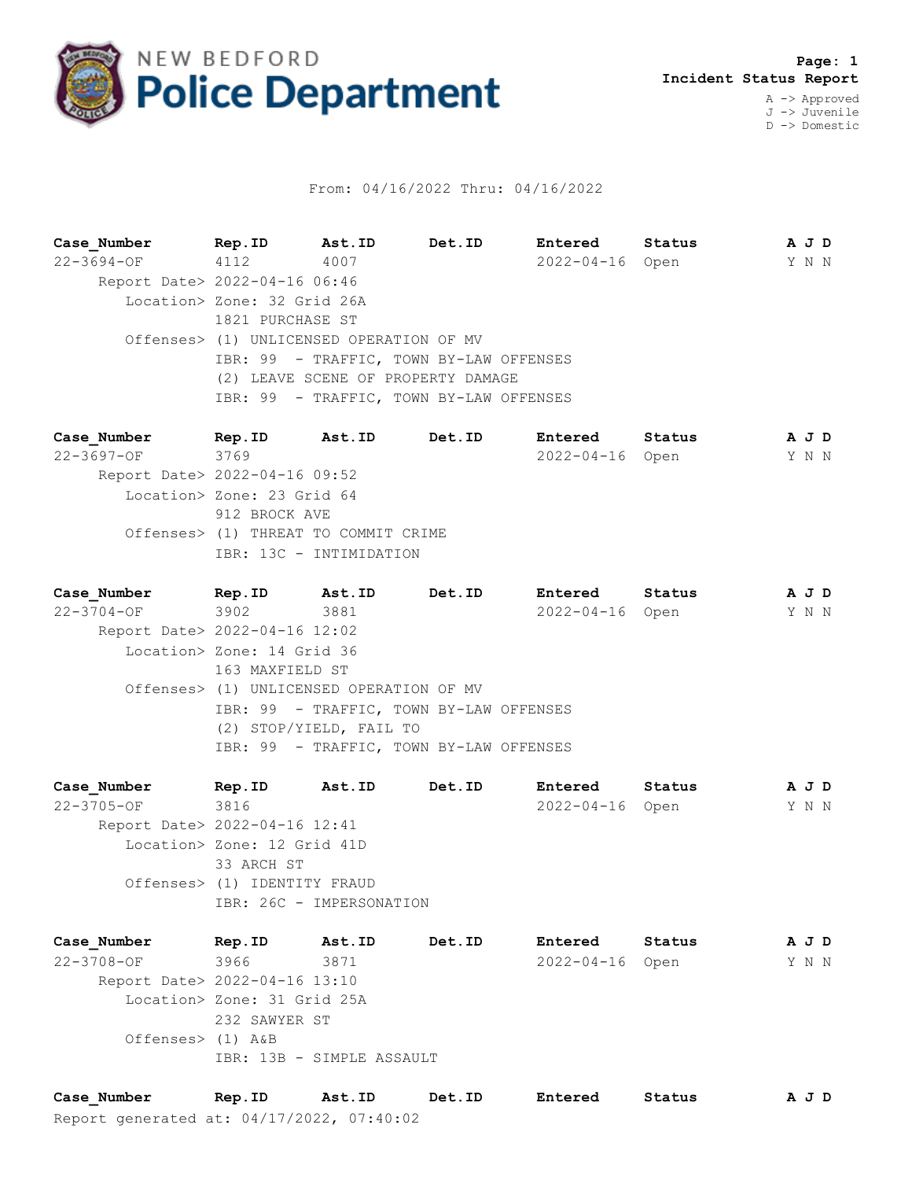

## From: 04/16/2022 Thru: 04/16/2022

**Case\_Number Rep.ID Ast.ID Det.ID Entered Status A J D** 22-3694-OF 4112 4007 2022-04-16 Open Y N N Report Date> 2022-04-16 06:46 Location> Zone: 32 Grid 26A 1821 PURCHASE ST Offenses> (1) UNLICENSED OPERATION OF MV IBR: 99 - TRAFFIC, TOWN BY-LAW OFFENSES (2) LEAVE SCENE OF PROPERTY DAMAGE IBR: 99 - TRAFFIC, TOWN BY-LAW OFFENSES

**Case\_Number Rep.ID Ast.ID Det.ID Entered Status A J D** 22-3697-OF 3769 2022-04-16 Open Y N N Report Date> 2022-04-16 09:52 Location> Zone: 23 Grid 64 912 BROCK AVE Offenses> (1) THREAT TO COMMIT CRIME IBR: 13C - INTIMIDATION

**Case\_Number Rep.ID Ast.ID Det.ID Entered Status A J D** 22-3704-OF 3902 3881 2022-04-16 Open Y N N Report Date> 2022-04-16 12:02 Location> Zone: 14 Grid 36 163 MAXFIELD ST Offenses> (1) UNLICENSED OPERATION OF MV IBR: 99 - TRAFFIC, TOWN BY-LAW OFFENSES (2) STOP/YIELD, FAIL TO IBR: 99 - TRAFFIC, TOWN BY-LAW OFFENSES

**Case\_Number Rep.ID Ast.ID Det.ID Entered Status A J D** 22-3705-OF 3816 2022-04-16 Open Y N N Report Date> 2022-04-16 12:41 Location> Zone: 12 Grid 41D 33 ARCH ST Offenses> (1) IDENTITY FRAUD IBR: 26C - IMPERSONATION

**Case\_Number Rep.ID Ast.ID Det.ID Entered Status A J D** 22-3708-OF 3966 3871 2022-04-16 Open Y N N Report Date> 2022-04-16 13:10 Location> Zone: 31 Grid 25A 232 SAWYER ST Offenses> (1) A&B IBR: 13B - SIMPLE ASSAULT

Report generated at: 04/17/2022, 07:40:02 **Case\_Number Rep.ID Ast.ID Det.ID Entered Status A J D**